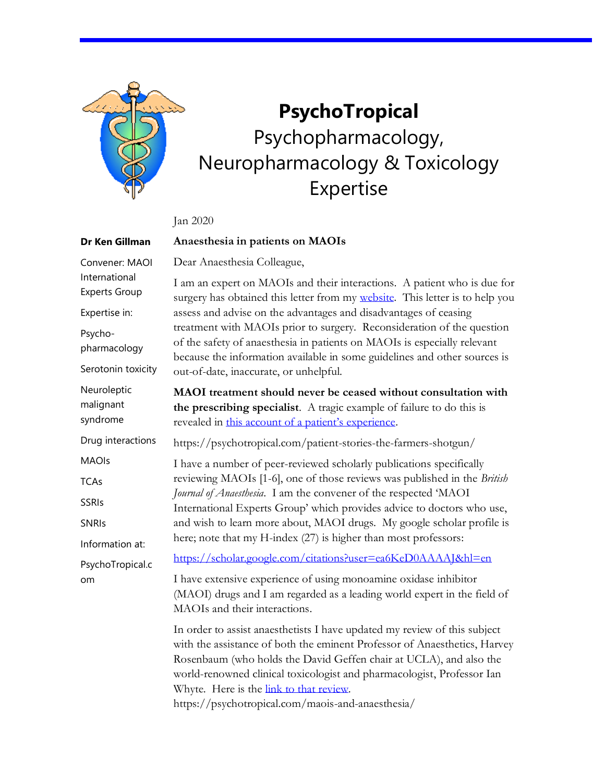

**Dr Ken Gillman**

## **PsychoTropical** Psychopharmacology, Neuropharmacology & Toxicology Expertise

Jan 2020

## **Anaesthesia in patients on MAOIs**

Dear Anaesthesia Colleague, Convener: MAOI

I am an expert on MAOIs and their interactions. A patient who is due for surgery has obtained this letter from my [website.](https://psychotropical.com/maois/) This letter is to help you assess and advise on the advantages and disadvantages of ceasing treatment with MAOIs prior to surgery. Reconsideration of the question of the safety of anaesthesia in patients on MAOIs is especially relevant because the information available in some guidelines and other sources is out-of-date, inaccurate, or unhelpful. **MAOI treatment should never be ceased without consultation with the prescribing specialist**. A tragic example of failure to do this is revealed in [this account of a patient's experience](https://psychotropical.com/patient-stories-the-farmers-shotgun/). https://psychotropical.com/patient-stories-the-farmers-shotgun/ I have a number of peer-reviewed scholarly publications specifically reviewing MAOIs [1-6], one of those reviews was published in the *British Journal of Anaesthesia*. I am the convener of the respected 'MAOI International Experts Group' which provides advice to doctors who use, and wish to learn more about, MAOI drugs. My google scholar profile is here; note that my H-index (27) is higher than most professors: <https://scholar.google.com/citations?user=ea6KeD0AAAAJ&hl=en> I have extensive experience of using monoamine oxidase inhibitor (MAOI) drugs and I am regarded as a leading world expert in the field of MAOIs and their interactions. In order to assist anaesthetists I have updated my review of this subject with the assistance of both the eminent Professor of Anaesthetics, Harvey Rosenbaum (who holds the David Geffen chair at UCLA), and also the world-renowned clinical toxicologist and pharmacologist, Professor Ian Whyte. Here is the [link to that review.](https://psychotropical.com/maois-and-anaesthesia/) International Experts Group Expertise in: Psychopharmacology Serotonin toxicity Neuroleptic malignant syndrome Drug interactions MAOIs **TCAs** SSRIs SNRIs Information at: PsychoTropical.c om

https://psychotropical.com/maois-and-anaesthesia/